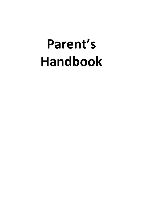# **Parent's Handbook**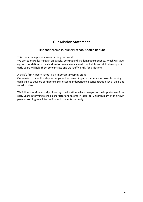## **Our Mission Statement**

First and foremost, nursery school should be fun!

This is our main priority in everything that we do.

We aim to make learning an enjoyable, exciting and challenging experience, which will give a good foundation to the children for many years ahead. The habits and skills developed in early years will help them concentrate and work efficiently for a lifetime.

A child's first nursery school is an important stepping stone.

Our aim is to make this step as happy and as rewarding an experience as possible helping each child to develop confidence, self-esteem, independence concentration social skills and self-discipline.

We follow the Montessori philosophy of education, which recognises the importance of the early years in forming a child's character and talents in later life. Children learn at their own pace, absorbing new information and concepts naturally.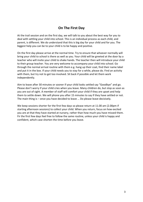## **On The First Day**

At the trail session and on the first day, we will talk to you about the best way for you to deal with settling your child into school. This is an individual process as each child, and parent, is different. We do understand that this is big day for your child and for you. The biggest help you can be to your child is to be happy and positive.

On the first day please arrive at the normal time. Try to ensure that whoever normally will bring your child to school is there as well as you. Your child will be greeted at the door by a teacher who will invite your child to shake hands. The teacher then will introduce your child to their group teacher. You are very welcome to accompany your child into school. Go through the normal arrival routine with them e.g. hang up their coat, find their name label and put it in the box. If your child needs you to stay for a while, please do. Find an activity with them, but try not to get too involved. Sit back if possible and let them work independently.

Aim to leave after 30 minutes or sooner if your child looks settled say "Goodbye" and go. Please don't worry if your child cries when you leave. Many children do, but stop as soon as you are out of sight. A member of staff will comfort your child if they are upset and help them to settle down. We will phone you after 15 minutes to say if they have settled or not. The main thing is – once you have decided to leave … Do please leave decisively.

We keep sessions shorter for the first few days so please return at 11.00 am (2.00pm if starting afternoon sessions) to collect your child. When you return, focus on how excited you are at that they have started at nursery, rather than how much you have missed them. Fir the first few days feel free to follow the same routine, unless your child is happy and confident, which case shorten the time before you leave.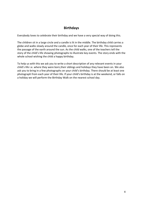## **Birthdays**

Everybody loves to celebrate their birthday and we have a very special way of doing this.

The children sit in a large circle and a candle is lit in the middle. The birthday child carries a globe and walks slowly around the candle, once for each year of their life. This represents the passage of the earth around the sun. As the child walks, one of the teachers tell the story of the child's life showing photographs to illustrate key events. The story ends with the whole school wishing the child a happy birthday.

To help us with this we ask you to write a short description of any relevant events in your child's life i.e. where they were born,their siblings and holidays they have been on. We also ask you to bring in a few photographs on your child's birthday. There should be at least one photograph from each year of their life. If your child's birthday is at the weekend, or falls on a holiday we will perform the Birthday Walk on the nearest school day.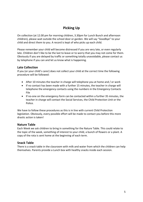# **Picking Up**

On collection (at 12.00 pm for morning children, 3.30pm for Lunch Bunch and afternoon children), please wait outside the school door or garden. We will say "Goodbye" to your child and direct them to you. A record is kept of who picks up each child.

Please remember your child will become distressed if you are very late, or even regularly late. Children don't like to be the last to leave or to worry that you may not come for them. Obviously if you are delayed by traffic or something totally unavoidable, please contact us by telephone if you can and let us know what is happening.

## **Late Collection**

If you (or your child's carer) does not collect your child at the correct time the following procedure will be followed:

- After 10 minutes the teacher in charge will telephone you at home and / or work
- If no contact has been made with a further 15 minutes, the teacher in charge will telephone the emergency contacts using the numbers in the Emergency Contacts File
- If no-one on the emergency form can be contacted within a further 35 minutes, the teacher in charge will contact the Social Services, the Child Protection Unit or the Police.

We have to follow these procedures as this is in line with current Child Protection legislation. Obviously, every possible effort will be made to contact you before this more drastic action is taken!

### **Nature Table**

Each Week we ask children to bring in something for the Nature Table. This could relate to the topic of the week, something of interest to your child, a bunch of flowers or a plant. A copy of the rota is sent home at the beginning of each term.

## **Snack Table**

There is a snack table in the classroom with milk and water from which the children can help themselves. Parents provide a Lunch box with healthy snacks inside each session.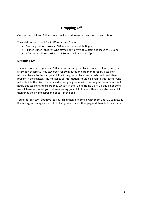# **Dropping Off**

Once settled children follow the normal procedure for arriving and leaving school.

The children can attend for 3 different time frames:

- Morning children arrive at 9.00am and leave at 12.00pm
- "Lunch Bunch" children who stay all day, arrive at 9.00am and leave at 3.30pm
- Afternoon children arrive at 12.30pm and leave at 3.30pm

## **Dropping Off**

The main doors are opened at 9.00am (for morning and Lunch Bunch children) and (for afternoon children). They stay open for 10 minutes and are monitored by a teacher. At the entrance to the hall your child will be greeted by a teacher who will mark them present in the register. Any messages or information should be given to this teacher who will note it in the diary. If your child is not going home with their regular carer, you should notify this teacher and ensure they write it in the "Going Home Diary". If this is not done, we will have to contact you before allowing your child home with anyone else. Your child then finds their name label and pops it in the box.

You either can say "Goodbye" to your child then, or come in with them until 9.10am/12.40. If you stay, encourage your child to hang their coat on their peg and then find their name.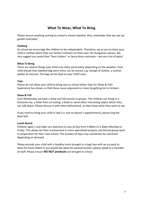## **What To Wear, What To Bring**

Please ensure anything coming to school is clearly labelled. Also, remember that we use our garden everyday!

#### **Clothing**

At school we encourage the children to be independent. Therefore, we as you to dress your child in clothes which they can fasten/ unfasten on their own. No dungarees, please. We also suggest you avoid their "best clothes" or fancy dress costumes – we use a lot of paint!

#### **What To Bring**

There are several things your child may need, particularly depending on the weather. Each child should have labelled bag were items can be stored, e.g. change of clothes, a sunhat, wellies & raincoat. The bag can be kept on your child's box.

#### **Toys**

Please do not allow your child to bring toys to school (other than for Show & Tell). Experience has shown us that these cause arguments or tears by getting lost or broken.

#### **Show & Tell**

Each Wednesday we have a show and tell session in groups. The children can bring in a favourite toy, a ticket from an outing, a book or some other interesting object which they can talk about. Please discuss it with them beforehand, so they know what they want to say.

If you need to bring your child in late (i.e. due to doctor's appointment), please ring the door bell.

#### **Lunch Bunch**

Children aged 1 and older are welcome to stay all day from 9.00am to 3.30pm Monday to Friday. This allows for their involvement in more specialised projects and formal group work in preparation for their next school. The number of days may sometimes be restricted depending on demand.

Please provide your child with a healthy lunch brought in a bag/ box with an ice pack to keep the food chilled. If you would like ideas for packed lunches, please speak to a member of staff. Please ensure **NO NUT products** are brought to school.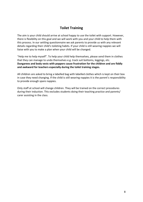## **Toilet Training**

The aim is your child should arrive at school happy to use the toilet with support. However, there is flexibility on this goal and we will work with you and your child to help them with this process. In our settling questionnaire we ask parents to provide us with any relevant details regarding their child's toileting habits. If your child is still wearing nappies we will liaise with you to make a plan when your child will be changed.

"Help me to help myself". To help your child help themselves, please send them in clothes that they can manage to undo themselves e.g. track suit bottoms, leggings, etc. **Dungarees and body vests with poppers cause frustration for the children and are fiddly and awkward for teachers especially during the toilet training stages.**

All children are asked to bring a labelled bag with labelled clothes which is kept on their box in case they need changing. If the child is still wearing nappies it is the parent's responsibility to provide enough spare nappies.

Only staff at school will change children. They will be trained on the correct procedures during their induction. This excludes students doing their teaching practice and parents/ carer assisting in the class.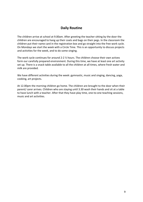## **Daily Routine**

The children arrive at school at 9.00am. After greeting the teacher sitting by the door the children are encouraged to hang up their coats and bags on their pegs. In the classroom the children put their name card in the registration box and go straight into the free work cycle. On Mondays we start the week with a Circle Time. This is an opportunity to discuss projects and activities for the week, and to do some singing.

The work cycle continues for around 2-2  $\frac{1}{2}$  hours. The children choose their own actives form our carefully prepared environment. During this time, we have at least one art activity set up. There is a snack table available to all the children at all times, where fresh water and milk are provided.

We have different activities during the week: gymnastic, music and singing, dancing, yoga, cooking, art projects.

At 12.00pm the morning children go home. The children are brought to the door when their parent/ carer arrives. Children who are staying until 3.30 wash their hands and sit at a table to have lunch with a teacher. After that they have play time, one-to-one teaching sessions, music and art activities.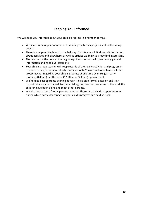# **Keeping You Informed**

We will keep you informed about your child's progress in a number of ways:

- We send home regular newsletters outlining the term's projects and forthcoming events.
- There is a large notice board in the hallway. On this you will find useful information about activities and elsewhere, as well as articles we think you may find interesting.
- The teacher on the door at the beginning of each session will pass on any general information and hand out letters etc.
- Your child's group teacher will keep records of their daily activities and progress in relation to the government's Early Learning Goals. You are welcome to consult the group teacher regarding your child's progress at any time by making an early morning (8.40am) or afternoon (12.20pm or 3.35pm) appointment.
- We hold at least 2parents evening at year. This is an informal occasion and is an opportunity for you to speak to your child's group teacher, see some of the work the children have been doing and meet other parents.
- We also hold a more formal parents meeting. Theses are individual appointments during which particular aspects of your child's progress can be discussed.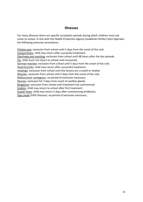## **Illnesses**

For many illnesses there are specific incubation periods during which children must not come to school. In line with the Health Protection Agency Guidelines Perfect Start Operates the following exclusion procedures:

Chicken pox: exclusion from school until 5 days from the onset of the rash. Conjunctivitis: child may return after successful treatment. Diarrhoea and vomiting: exclusion from school until 48 hours after the last episode. Flu: child must not return to school until recovered. German measles: exclusion from school until 5 days from the onset of the rash. Head lice/nits: child may return after successful treatment. Impetigo: exclusion from school until the lesions are crusted or healed. Measles: exclusion from school until 5 days from the onset of the rash. Mollusculum contagious: no period of exclusion necessary. Mumps: exclusion for 5 days from onset of swollen glands. Ringworm: exclusion from school until treatment has commenced. Scabies: child may return to school after first treatment. Scarlet fever: child may return 5 days after commencing antibiotics. Slap cheek (Fifth Disease): no period of exclusion necessary.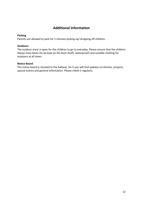## **Additional Information**

#### **Parking**

Parents are allowed to park for 5 minutes picking up/ dropping off children.

#### **Outdoors**

The outdoor arear is open for the children to go to everyday. Please ensure that the children always have boots (to be kept on the boot shelf), waterproofs and suitable clothing for outdoors at all times.

#### **Notice Board**

The notice board is situated in the hallway. On it you will find updates on themes, projects, special events and general information. Please check it regularly.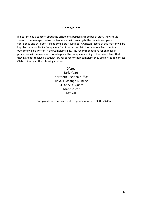## **Complaints**

If a parent has a concern about the school or a particular member of staff, they should speak to the manager Larissa de Saude who will investigate the issue in complete confidence and act upon it if she considers it justified. A written record of this matter will be kept by the school in its Complaints File. After a complain has been resolved the final outcome will be written in the Complaints File. Any recommendations for changes in procedure will be made and noted against the complaints policy. If the parent feels that they have not received a satisfactory response to their complaint they are invited to contact Ofsted directly at the following address:

> Ofsted, Early Years, Northern Regional Office Royal Exchange Building St. Anne's Square Manchester M2 7AL

Complaints and enforcement telephone number: 0300 123 4666.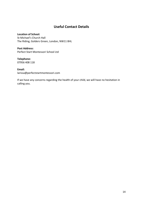## **Useful Contact Details**

#### **Location of School:**

St Michael's Church Hall The Riding, Golders Green, London, NW11 8HL

#### **Post Address:** Perfect Start Montessori School Ltd

## **Telephone:**

07956 408 118

#### **Email:**

larissa@perfectstartmontessori.com

If we have any concerns regarding the health of your child, we will have no hesitation in calling you.